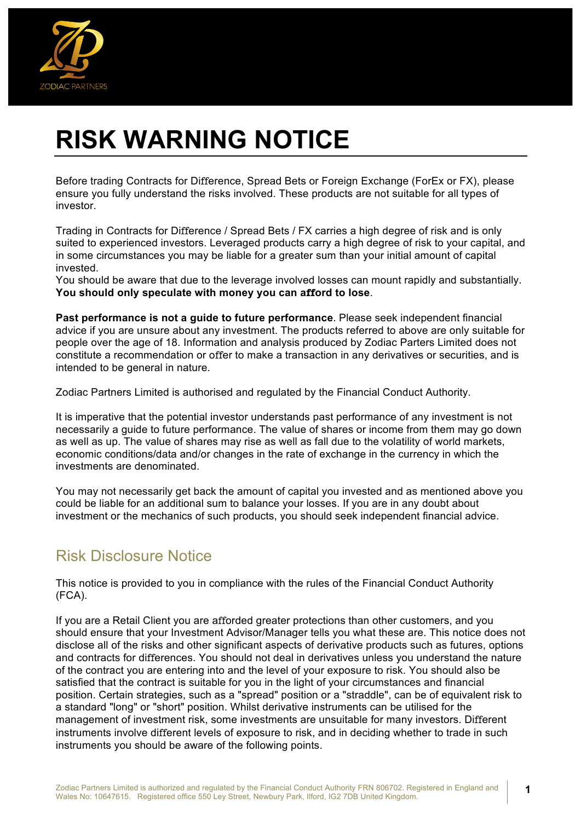

# **RISK WARNING NOTICE**

Before trading Contracts for Difference, Spread Bets or Foreign Exchange (ForEx or FX), please ensure you fully understand the risks involved. These products are not suitable for all types of investor.

Trading in Contracts for Difference / Spread Bets / FX carries a high degree of risk and is only suited to experienced investors. Leveraged products carry a high degree of risk to your capital, and in some circumstances you may be liable for a greater sum than your initial amount of capital invested.

You should be aware that due to the leverage involved losses can mount rapidly and substantially. **You should only speculate with money you can afford to lose**.

**Past performance is not a guide to future performance**. Please seek independent financial advice if you are unsure about any investment. The products referred to above are only suitable for people over the age of 18. Information and analysis produced by Zodiac Parters Limited does not constitute a recommendation or offer to make a transaction in any derivatives or securities, and is intended to be general in nature.

Zodiac Partners Limited is authorised and regulated by the Financial Conduct Authority.

It is imperative that the potential investor understands past performance of any investment is not necessarily a guide to future performance. The value of shares or income from them may go down as well as up. The value of shares may rise as well as fall due to the volatility of world markets, economic conditions/data and/or changes in the rate of exchange in the currency in which the investments are denominated.

You may not necessarily get back the amount of capital you invested and as mentioned above you could be liable for an additional sum to balance your losses. If you are in any doubt about investment or the mechanics of such products, you should seek independent financial advice.

#### Risk Disclosure Notice

This notice is provided to you in compliance with the rules of the Financial Conduct Authority (FCA).

If you are a Retail Client you are afforded greater protections than other customers, and you should ensure that your Investment Advisor/Manager tells you what these are. This notice does not disclose all of the risks and other significant aspects of derivative products such as futures, options and contracts for differences. You should not deal in derivatives unless you understand the nature of the contract you are entering into and the level of your exposure to risk. You should also be satisfied that the contract is suitable for you in the light of your circumstances and financial position. Certain strategies, such as a "spread" position or a "straddle", can be of equivalent risk to a standard "long" or "short" position. Whilst derivative instruments can be utilised for the management of investment risk, some investments are unsuitable for many investors. Different instruments involve different levels of exposure to risk, and in deciding whether to trade in such instruments you should be aware of the following points.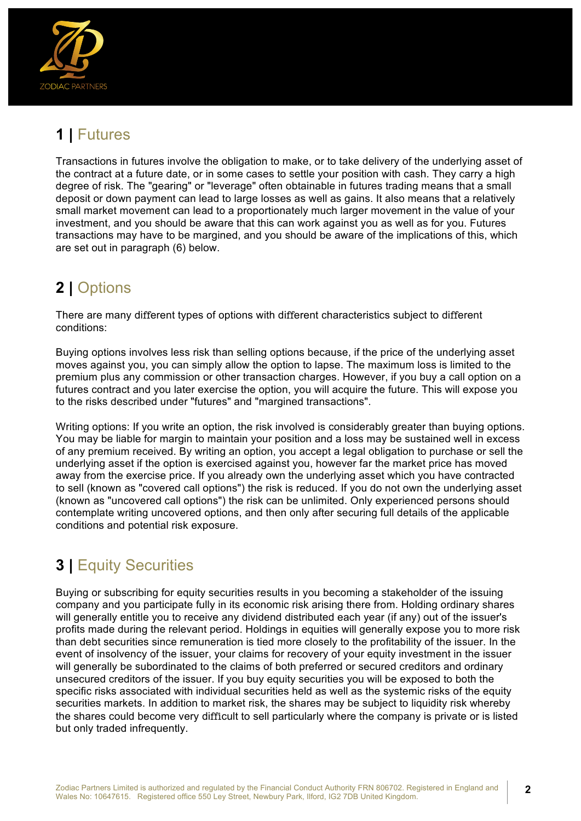

# **1 |** Futures

Transactions in futures involve the obligation to make, or to take delivery of the underlying asset of the contract at a future date, or in some cases to settle your position with cash. They carry a high degree of risk. The "gearing" or "leverage" often obtainable in futures trading means that a small deposit or down payment can lead to large losses as well as gains. It also means that a relatively small market movement can lead to a proportionately much larger movement in the value of your investment, and you should be aware that this can work against you as well as for you. Futures transactions may have to be margined, and you should be aware of the implications of this, which are set out in paragraph (6) below.

# **2 |** Options

There are many different types of options with different characteristics subject to different conditions:

Buying options involves less risk than selling options because, if the price of the underlying asset moves against you, you can simply allow the option to lapse. The maximum loss is limited to the premium plus any commission or other transaction charges. However, if you buy a call option on a futures contract and you later exercise the option, you will acquire the future. This will expose you to the risks described under "futures" and "margined transactions".

Writing options: If you write an option, the risk involved is considerably greater than buying options. You may be liable for margin to maintain your position and a loss may be sustained well in excess of any premium received. By writing an option, you accept a legal obligation to purchase or sell the underlying asset if the option is exercised against you, however far the market price has moved away from the exercise price. If you already own the underlying asset which you have contracted to sell (known as "covered call options") the risk is reduced. If you do not own the underlying asset (known as "uncovered call options") the risk can be unlimited. Only experienced persons should contemplate writing uncovered options, and then only after securing full details of the applicable conditions and potential risk exposure.

# **3 |** Equity Securities

Buying or subscribing for equity securities results in you becoming a stakeholder of the issuing company and you participate fully in its economic risk arising there from. Holding ordinary shares will generally entitle you to receive any dividend distributed each year (if any) out of the issuer's profits made during the relevant period. Holdings in equities will generally expose you to more risk than debt securities since remuneration is tied more closely to the profitability of the issuer. In the event of insolvency of the issuer, your claims for recovery of your equity investment in the issuer will generally be subordinated to the claims of both preferred or secured creditors and ordinary unsecured creditors of the issuer. If you buy equity securities you will be exposed to both the specific risks associated with individual securities held as well as the systemic risks of the equity securities markets. In addition to market risk, the shares may be subject to liquidity risk whereby the shares could become very difficult to sell particularly where the company is private or is listed but only traded infrequently.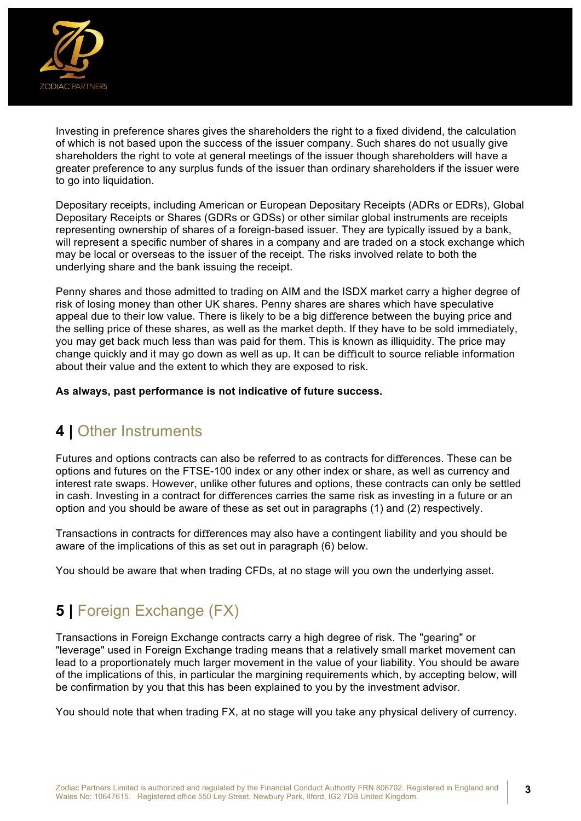

Investing in preference shares gives the shareholders the right to a fixed dividend, the calculation of which is not based upon the success of the issuer company. Such shares do not usually give shareholders the right to vote at general meetings of the issuer though shareholders will have a greater preference to any surplus funds of the issuer than ordinary shareholders if the issuer were to go into liquidation.

Depositary receipts, including American or European Depositary Receipts (ADRs or EDRs), Global Depositary Receipts or Shares (GDRs or GDSs) or other similar global instruments are receipts representing ownership of shares of a foreign-based issuer. They are typically issued by a bank, will represent a specific number of shares in a company and are traded on a stock exchange which may be local or overseas to the issuer of the receipt. The risks involved relate to both the underlying share and the bank issuing the receipt.

Penny shares and those admitted to trading on AIM and the ISDX market carry a higher degree of risk of losing money than other UK shares. Penny shares are shares which have speculative appeal due to their low value. There is likely to be a big difference between the buying price and the selling price of these shares, as well as the market depth. If they have to be sold immediately, you may get back much less than was paid for them. This is known as illiquidity. The price may change quickly and it may go down as well as up. It can be difficult to source reliable information about their value and the extent to which they are exposed to risk.

**As always, past performance is not indicative of future success.** 

#### **4 |** Other Instruments

Futures and options contracts can also be referred to as contracts for differences. These can be options and futures on the FTSE-100 index or any other index or share, as well as currency and interest rate swaps. However, unlike other futures and options, these contracts can only be settled in cash. Investing in a contract for differences carries the same risk as investing in a future or an option and you should be aware of these as set out in paragraphs (1) and (2) respectively.

Transactions in contracts for differences may also have a contingent liability and you should be aware of the implications of this as set out in paragraph (6) below.

You should be aware that when trading CFDs, at no stage will you own the underlying asset.

# **5 |** Foreign Exchange (FX)

Transactions in Foreign Exchange contracts carry a high degree of risk. The "gearing" or "leverage" used in Foreign Exchange trading means that a relatively small market movement can lead to a proportionately much larger movement in the value of your liability. You should be aware of the implications of this, in particular the margining requirements which, by accepting below, will be confirmation by you that this has been explained to you by the investment advisor.

You should note that when trading FX, at no stage will you take any physical delivery of currency.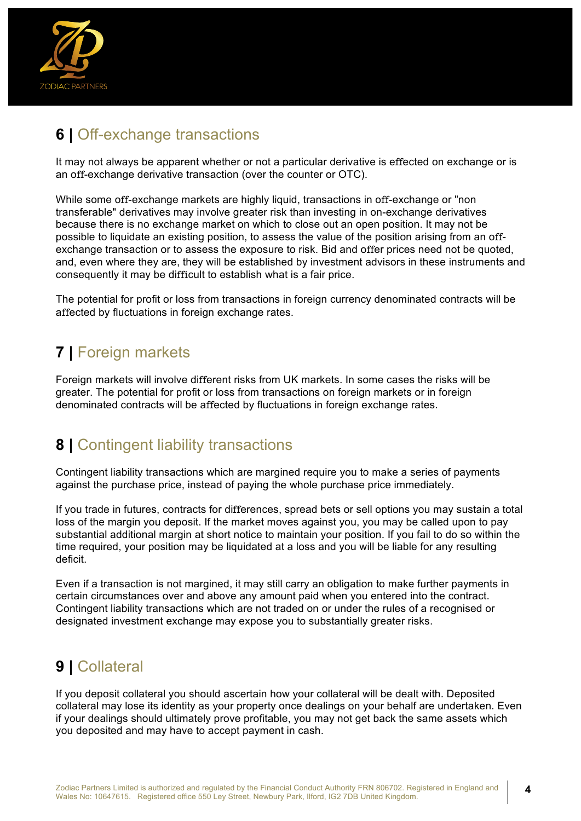

# **6 |** Off-exchange transactions

It may not always be apparent whether or not a particular derivative is effected on exchange or is an off-exchange derivative transaction (over the counter or OTC).

While some off-exchange markets are highly liquid, transactions in off-exchange or "non transferable" derivatives may involve greater risk than investing in on-exchange derivatives because there is no exchange market on which to close out an open position. It may not be possible to liquidate an existing position, to assess the value of the position arising from an offexchange transaction or to assess the exposure to risk. Bid and offer prices need not be quoted, and, even where they are, they will be established by investment advisors in these instruments and consequently it may be difficult to establish what is a fair price.

The potential for profit or loss from transactions in foreign currency denominated contracts will be affected by fluctuations in foreign exchange rates.

# **7 |** Foreign markets

Foreign markets will involve different risks from UK markets. In some cases the risks will be greater. The potential for profit or loss from transactions on foreign markets or in foreign denominated contracts will be affected by fluctuations in foreign exchange rates.

#### **8 |** Contingent liability transactions

Contingent liability transactions which are margined require you to make a series of payments against the purchase price, instead of paying the whole purchase price immediately.

If you trade in futures, contracts for differences, spread bets or sell options you may sustain a total loss of the margin you deposit. If the market moves against you, you may be called upon to pay substantial additional margin at short notice to maintain your position. If you fail to do so within the time required, your position may be liquidated at a loss and you will be liable for any resulting deficit.

Even if a transaction is not margined, it may still carry an obligation to make further payments in certain circumstances over and above any amount paid when you entered into the contract. Contingent liability transactions which are not traded on or under the rules of a recognised or designated investment exchange may expose you to substantially greater risks.

# **9 |** Collateral

If you deposit collateral you should ascertain how your collateral will be dealt with. Deposited collateral may lose its identity as your property once dealings on your behalf are undertaken. Even if your dealings should ultimately prove profitable, you may not get back the same assets which you deposited and may have to accept payment in cash.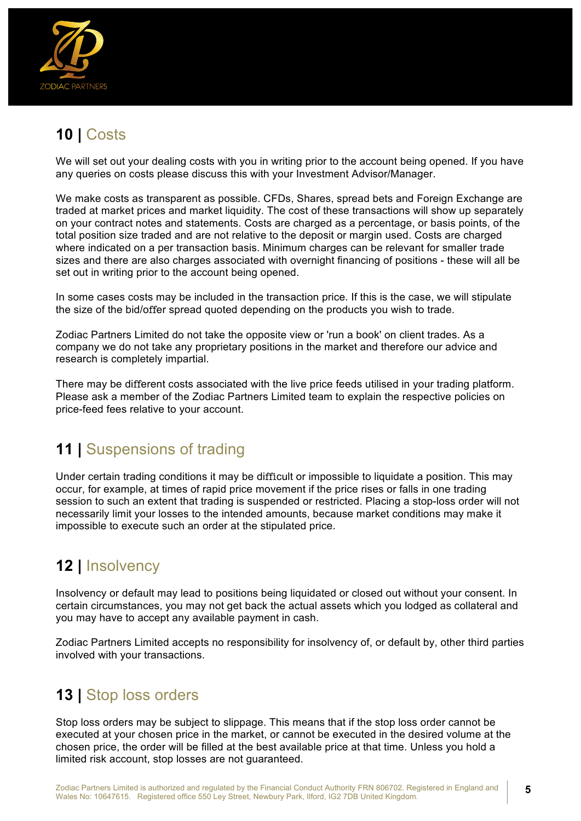

# **10 |** Costs

We will set out your dealing costs with you in writing prior to the account being opened. If you have any queries on costs please discuss this with your Investment Advisor/Manager.

We make costs as transparent as possible. CFDs, Shares, spread bets and Foreign Exchange are traded at market prices and market liquidity. The cost of these transactions will show up separately on your contract notes and statements. Costs are charged as a percentage, or basis points, of the total position size traded and are not relative to the deposit or margin used. Costs are charged where indicated on a per transaction basis. Minimum charges can be relevant for smaller trade sizes and there are also charges associated with overnight financing of positions - these will all be set out in writing prior to the account being opened.

In some cases costs may be included in the transaction price. If this is the case, we will stipulate the size of the bid/offer spread quoted depending on the products you wish to trade.

Zodiac Partners Limited do not take the opposite view or 'run a book' on client trades. As a company we do not take any proprietary positions in the market and therefore our advice and research is completely impartial.

There may be different costs associated with the live price feeds utilised in your trading platform. Please ask a member of the Zodiac Partners Limited team to explain the respective policies on price-feed fees relative to your account.

#### **11 |** Suspensions of trading

Under certain trading conditions it may be difficult or impossible to liquidate a position. This may occur, for example, at times of rapid price movement if the price rises or falls in one trading session to such an extent that trading is suspended or restricted. Placing a stop-loss order will not necessarily limit your losses to the intended amounts, because market conditions may make it impossible to execute such an order at the stipulated price.

# **12 |** Insolvency

Insolvency or default may lead to positions being liquidated or closed out without your consent. In certain circumstances, you may not get back the actual assets which you lodged as collateral and you may have to accept any available payment in cash.

Zodiac Partners Limited accepts no responsibility for insolvency of, or default by, other third parties involved with your transactions.

#### **13 |** Stop loss orders

Stop loss orders may be subject to slippage. This means that if the stop loss order cannot be executed at your chosen price in the market, or cannot be executed in the desired volume at the chosen price, the order will be filled at the best available price at that time. Unless you hold a limited risk account, stop losses are not guaranteed.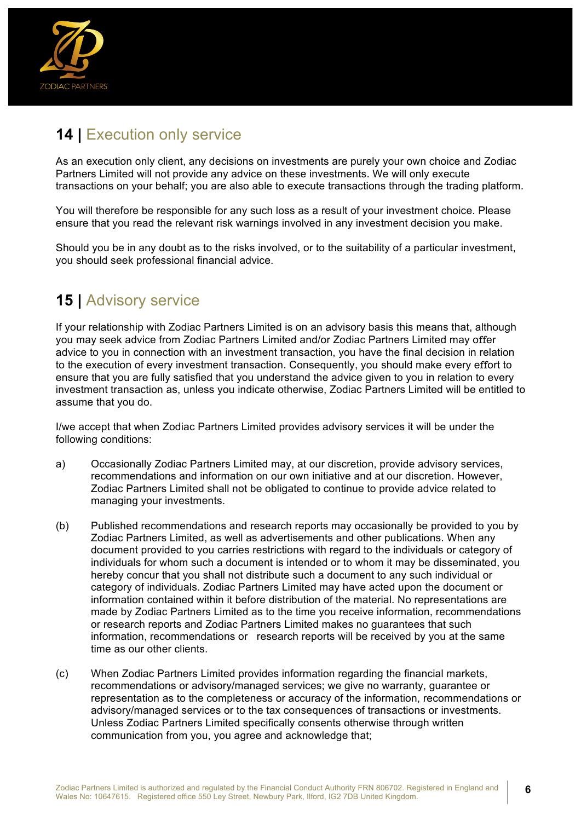

# **14 |** Execution only service

As an execution only client, any decisions on investments are purely your own choice and Zodiac Partners Limited will not provide any advice on these investments. We will only execute transactions on your behalf; you are also able to execute transactions through the trading platform.

You will therefore be responsible for any such loss as a result of your investment choice. Please ensure that you read the relevant risk warnings involved in any investment decision you make.

Should you be in any doubt as to the risks involved, or to the suitability of a particular investment, you should seek professional financial advice.

#### **15 |** Advisory service

If your relationship with Zodiac Partners Limited is on an advisory basis this means that, although you may seek advice from Zodiac Partners Limited and/or Zodiac Partners Limited may offer advice to you in connection with an investment transaction, you have the final decision in relation to the execution of every investment transaction. Consequently, you should make every effort to ensure that you are fully satisfied that you understand the advice given to you in relation to every investment transaction as, unless you indicate otherwise, Zodiac Partners Limited will be entitled to assume that you do.

I/we accept that when Zodiac Partners Limited provides advisory services it will be under the following conditions:

- a) Occasionally Zodiac Partners Limited may, at our discretion, provide advisory services, recommendations and information on our own initiative and at our discretion. However, Zodiac Partners Limited shall not be obligated to continue to provide advice related to managing your investments.
- (b) Published recommendations and research reports may occasionally be provided to you by Zodiac Partners Limited, as well as advertisements and other publications. When any document provided to you carries restrictions with regard to the individuals or category of individuals for whom such a document is intended or to whom it may be disseminated, you hereby concur that you shall not distribute such a document to any such individual or category of individuals. Zodiac Partners Limited may have acted upon the document or information contained within it before distribution of the material. No representations are made by Zodiac Partners Limited as to the time you receive information, recommendations or research reports and Zodiac Partners Limited makes no guarantees that such information, recommendations or research reports will be received by you at the same time as our other clients.
- (c) When Zodiac Partners Limited provides information regarding the financial markets, recommendations or advisory/managed services; we give no warranty, guarantee or representation as to the completeness or accuracy of the information, recommendations or advisory/managed services or to the tax consequences of transactions or investments. Unless Zodiac Partners Limited specifically consents otherwise through written communication from you, you agree and acknowledge that;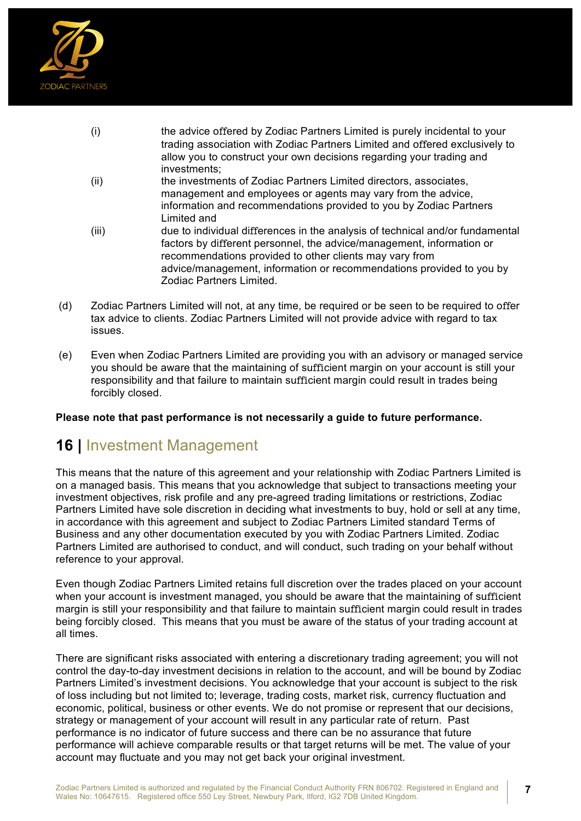

| (i)   | the advice offered by Zodiac Partners Limited is purely incidental to your<br>trading association with Zodiac Partners Limited and offered exclusively to                                                                                                                                 |
|-------|-------------------------------------------------------------------------------------------------------------------------------------------------------------------------------------------------------------------------------------------------------------------------------------------|
|       | allow you to construct your own decisions regarding your trading and<br>investments;                                                                                                                                                                                                      |
| (ii)  | the investments of Zodiac Partners Limited directors, associates,<br>management and employees or agents may vary from the advice,<br>information and recommendations provided to you by Zodiac Partners<br>Limited and                                                                    |
| (iii) | due to individual differences in the analysis of technical and/or fundamental<br>factors by different personnel, the advice/management, information or<br>recommendations provided to other clients may vary from<br>advice/management, information or recommendations provided to you by |

- Zodiac Partners Limited.
- (d) Zodiac Partners Limited will not, at any time, be required or be seen to be required to offer tax advice to clients. Zodiac Partners Limited will not provide advice with regard to tax issues.
- (e) Even when Zodiac Partners Limited are providing you with an advisory or managed service you should be aware that the maintaining of sufficient margin on your account is still your responsibility and that failure to maintain sufficient margin could result in trades being forcibly closed.

#### **Please note that past performance is not necessarily a guide to future performance.**

#### **16 |** Investment Management

This means that the nature of this agreement and your relationship with Zodiac Partners Limited is on a managed basis. This means that you acknowledge that subject to transactions meeting your investment objectives, risk profile and any pre-agreed trading limitations or restrictions, Zodiac Partners Limited have sole discretion in deciding what investments to buy, hold or sell at any time, in accordance with this agreement and subject to Zodiac Partners Limited standard Terms of Business and any other documentation executed by you with Zodiac Partners Limited. Zodiac Partners Limited are authorised to conduct, and will conduct, such trading on your behalf without reference to your approval.

Even though Zodiac Partners Limited retains full discretion over the trades placed on your account when your account is investment managed, you should be aware that the maintaining of sufficient margin is still your responsibility and that failure to maintain sufficient margin could result in trades being forcibly closed. This means that you must be aware of the status of your trading account at all times.

There are significant risks associated with entering a discretionary trading agreement; you will not control the day-to-day investment decisions in relation to the account, and will be bound by Zodiac Partners Limited's investment decisions. You acknowledge that your account is subject to the risk of loss including but not limited to; leverage, trading costs, market risk, currency fluctuation and economic, political, business or other events. We do not promise or represent that our decisions, strategy or management of your account will result in any particular rate of return. Past performance is no indicator of future success and there can be no assurance that future performance will achieve comparable results or that target returns will be met. The value of your account may fluctuate and you may not get back your original investment.